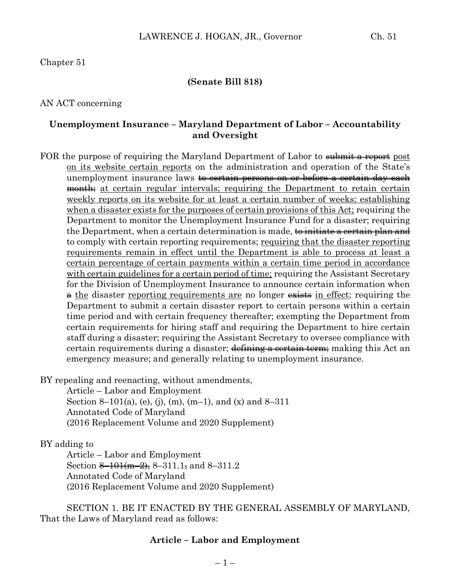#### Chapter 51

#### **(Senate Bill 818)**

#### AN ACT concerning

#### **Unemployment Insurance – Maryland Department of Labor – Accountability and Oversight**

FOR the purpose of requiring the Maryland Department of Labor to submit a report post on its website certain reports on the administration and operation of the State's unemployment insurance laws <del>to certain persons on or before a certain day each</del> month at certain regular intervals; requiring the Department to retain certain weekly reports on its website for at least a certain number of weeks; establishing when a disaster exists for the purposes of certain provisions of this Act; requiring the Department to monitor the Unemployment Insurance Fund for a disaster; requiring the Department, when a certain determination is made, to initiate a certain plan and to comply with certain reporting requirements; requiring that the disaster reporting requirements remain in effect until the Department is able to process at least a certain percentage of certain payments within a certain time period in accordance with certain guidelines for a certain period of time; requiring the Assistant Secretary for the Division of Unemployment Insurance to announce certain information when  $\theta$  the disaster reporting requirements are no longer exists in effect; requiring the Department to submit a certain disaster report to certain persons within a certain time period and with certain frequency thereafter; exempting the Department from certain requirements for hiring staff and requiring the Department to hire certain staff during a disaster; requiring the Assistant Secretary to oversee compliance with certain requirements during a disaster; defining a certain term; making this Act an emergency measure; and generally relating to unemployment insurance.

BY repealing and reenacting, without amendments,

Article – Labor and Employment Section 8–101(a), (e), (j), (m), (m–1), and (x) and 8–311 Annotated Code of Maryland (2016 Replacement Volume and 2020 Supplement)

BY adding to

Article – Labor and Employment Section  $\frac{8-101(m-2)}{8}$ , 8-311.1, and 8-311.2 Annotated Code of Maryland (2016 Replacement Volume and 2020 Supplement)

SECTION 1. BE IT ENACTED BY THE GENERAL ASSEMBLY OF MARYLAND, That the Laws of Maryland read as follows:

#### **Article – Labor and Employment**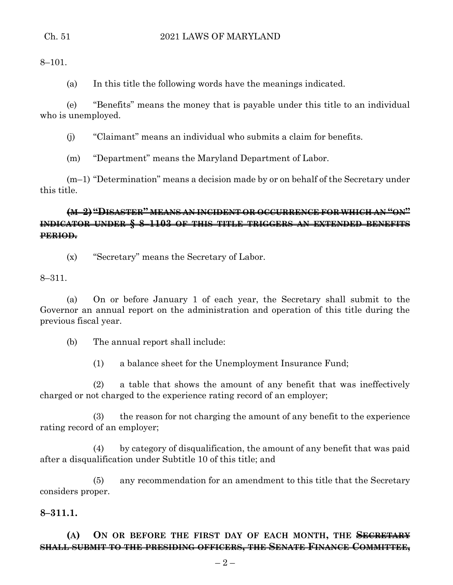### Ch. 51 2021 LAWS OF MARYLAND

8–101.

(a) In this title the following words have the meanings indicated.

(e) "Benefits" means the money that is payable under this title to an individual who is unemployed.

(j) "Claimant" means an individual who submits a claim for benefits.

(m) "Department" means the Maryland Department of Labor.

(m–1) "Determination" means a decision made by or on behalf of the Secretary under this title.

## **(M–2) "DISASTER" MEANS AN INCIDENT OR OCCURRENCE FOR WHICH AN "ON" INDICATOR UNDER § 8–1103 OF THIS TITLE TRIGGERS AN EXTENDED BENEFITS PERIOD.**

(x) "Secretary" means the Secretary of Labor.

8–311.

(a) On or before January 1 of each year, the Secretary shall submit to the Governor an annual report on the administration and operation of this title during the previous fiscal year.

(b) The annual report shall include:

(1) a balance sheet for the Unemployment Insurance Fund;

(2) a table that shows the amount of any benefit that was ineffectively charged or not charged to the experience rating record of an employer;

(3) the reason for not charging the amount of any benefit to the experience rating record of an employer;

(4) by category of disqualification, the amount of any benefit that was paid after a disqualification under Subtitle 10 of this title; and

(5) any recommendation for an amendment to this title that the Secretary considers proper.

# **8–311.1.**

## **(A) ON OR BEFORE THE FIRST DAY OF EACH MONTH, THE SECRETARY SHALL SUBMIT TO THE PRESIDING OFFICERS, THE SENATE FINANCE COMMITTEE,**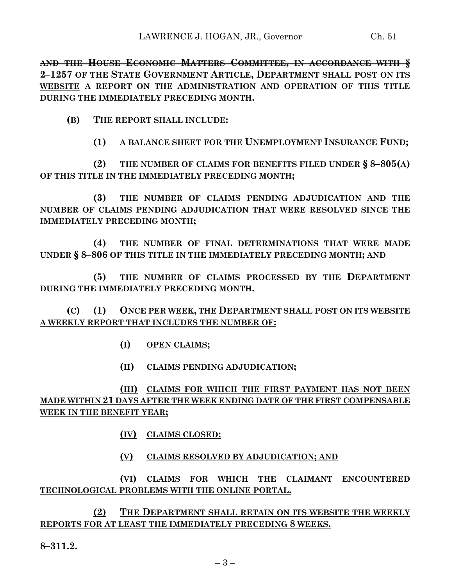**AND THE HOUSE ECONOMIC MATTERS COMMITTEE, IN ACCORDANCE WITH § 2–1257 OF THE STATE GOVERNMENT ARTICLE, DEPARTMENT SHALL POST ON ITS WEBSITE A REPORT ON THE ADMINISTRATION AND OPERATION OF THIS TITLE DURING THE IMMEDIATELY PRECEDING MONTH.**

**(B) THE REPORT SHALL INCLUDE:**

**(1) A BALANCE SHEET FOR THE UNEMPLOYMENT INSURANCE FUND;**

**(2) THE NUMBER OF CLAIMS FOR BENEFITS FILED UNDER § 8–805(A) OF THIS TITLE IN THE IMMEDIATELY PRECEDING MONTH;**

**(3) THE NUMBER OF CLAIMS PENDING ADJUDICATION AND THE NUMBER OF CLAIMS PENDING ADJUDICATION THAT WERE RESOLVED SINCE THE IMMEDIATELY PRECEDING MONTH;**

**(4) THE NUMBER OF FINAL DETERMINATIONS THAT WERE MADE UNDER § 8–806 OF THIS TITLE IN THE IMMEDIATELY PRECEDING MONTH; AND**

**(5) THE NUMBER OF CLAIMS PROCESSED BY THE DEPARTMENT DURING THE IMMEDIATELY PRECEDING MONTH.**

**(C) (1) ONCE PER WEEK, THE DEPARTMENT SHALL POST ON ITS WEBSITE A WEEKLY REPORT THAT INCLUDES THE NUMBER OF:**

**(I) OPEN CLAIMS;**

**(II) CLAIMS PENDING ADJUDICATION;**

# **(III) CLAIMS FOR WHICH THE FIRST PAYMENT HAS NOT BEEN MADE WITHIN 21 DAYS AFTER THE WEEK ENDING DATE OF THE FIRST COMPENSABLE WEEK IN THE BENEFIT YEAR;**

- **(IV) CLAIMS CLOSED;**
- **(V) CLAIMS RESOLVED BY ADJUDICATION; AND**

**(VI) CLAIMS FOR WHICH THE CLAIMANT ENCOUNTERED TECHNOLOGICAL PROBLEMS WITH THE ONLINE PORTAL.**

**(2) THE DEPARTMENT SHALL RETAIN ON ITS WEBSITE THE WEEKLY REPORTS FOR AT LEAST THE IMMEDIATELY PRECEDING 8 WEEKS.**

**8–311.2.**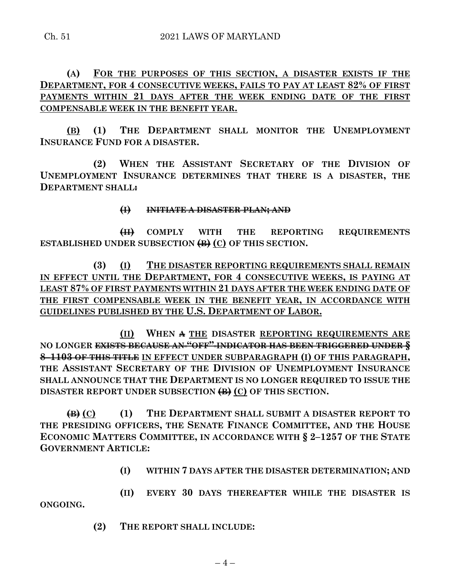## **(A) FOR THE PURPOSES OF THIS SECTION, A DISASTER EXISTS IF THE DEPARTMENT, FOR 4 CONSECUTIVE WEEKS, FAILS TO PAY AT LEAST 82% OF FIRST PAYMENTS WITHIN 21 DAYS AFTER THE WEEK ENDING DATE OF THE FIRST COMPENSABLE WEEK IN THE BENEFIT YEAR.**

**(B) (1) THE DEPARTMENT SHALL MONITOR THE UNEMPLOYMENT INSURANCE FUND FOR A DISASTER.**

**(2) WHEN THE ASSISTANT SECRETARY OF THE DIVISION OF UNEMPLOYMENT INSURANCE DETERMINES THAT THERE IS A DISASTER, THE DEPARTMENT SHALL:**

### **(I) INITIATE A DISASTER PLAN; AND**

**(II) COMPLY WITH THE REPORTING REQUIREMENTS ESTABLISHED UNDER SUBSECTION (B) (C) OF THIS SECTION.**

**(3) (I) THE DISASTER REPORTING REQUIREMENTS SHALL REMAIN IN EFFECT UNTIL THE DEPARTMENT, FOR 4 CONSECUTIVE WEEKS, IS PAYING AT LEAST 87% OF FIRST PAYMENTS WITHIN 21 DAYS AFTER THE WEEK ENDING DATE OF THE FIRST COMPENSABLE WEEK IN THE BENEFIT YEAR, IN ACCORDANCE WITH GUIDELINES PUBLISHED BY THE U.S. DEPARTMENT OF LABOR.**

**(II) WHEN A THE DISASTER REPORTING REQUIREMENTS ARE NO LONGER EXISTS BECAUSE AN "OFF" INDICATOR HAS BEEN TRIGGERED UNDER § 8–1103 OF THIS TITLE IN EFFECT UNDER SUBPARAGRAPH (I) OF THIS PARAGRAPH, THE ASSISTANT SECRETARY OF THE DIVISION OF UNEMPLOYMENT INSURANCE SHALL ANNOUNCE THAT THE DEPARTMENT IS NO LONGER REQUIRED TO ISSUE THE DISASTER REPORT UNDER SUBSECTION (B) (C) OF THIS SECTION.**

**(B) (C) (1) THE DEPARTMENT SHALL SUBMIT A DISASTER REPORT TO THE PRESIDING OFFICERS, THE SENATE FINANCE COMMITTEE, AND THE HOUSE ECONOMIC MATTERS COMMITTEE, IN ACCORDANCE WITH § 2–1257 OF THE STATE GOVERNMENT ARTICLE:**

**(I) WITHIN 7 DAYS AFTER THE DISASTER DETERMINATION; AND**

**(II) EVERY 30 DAYS THEREAFTER WHILE THE DISASTER IS ONGOING.**

**(2) THE REPORT SHALL INCLUDE:**